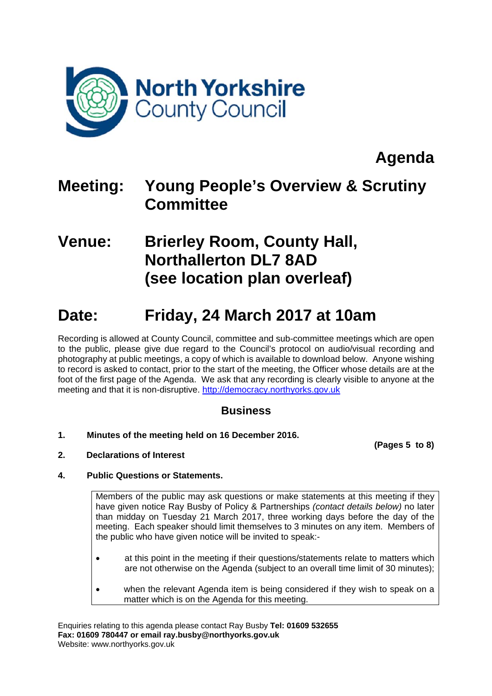

**Agenda** 

## **Meeting: Young People's Overview & Scrutiny Committee**

### **Venue: Brierley Room, County Hall, Northallerton DL7 8AD (see location plan overleaf)**

# **Date: Friday, 24 March 2017 at 10am**

Recording is allowed at County Council, committee and sub-committee meetings which are open to the public, please give due regard to the Council's protocol on audio/visual recording and photography at public meetings, a copy of which is available to download below. Anyone wishing to record is asked to contact, prior to the start of the meeting, the Officer whose details are at the foot of the first page of the Agenda. We ask that any recording is clearly visible to anyone at the meeting and that it is non-disruptive. http://democracy.northyorks.gov.uk

### **Business**

**1. Minutes of the meeting held on 16 December 2016.** 

**(Pages 5 to 8)**

**2. Declarations of Interest** 

### **4. Public Questions or Statements.**

Members of the public may ask questions or make statements at this meeting if they have given notice Ray Busby of Policy & Partnerships *(contact details below)* no later than midday on Tuesday 21 March 2017, three working days before the day of the meeting. Each speaker should limit themselves to 3 minutes on any item. Members of the public who have given notice will be invited to speak:-

- at this point in the meeting if their questions/statements relate to matters which are not otherwise on the Agenda (subject to an overall time limit of 30 minutes);
- when the relevant Agenda item is being considered if they wish to speak on a matter which is on the Agenda for this meeting.

Enquiries relating to this agenda please contact Ray Busby **Tel: 01609 532655 Fax: 01609 780447 or email ray.busby@northyorks.gov.uk**  Website: www.northyorks.gov.uk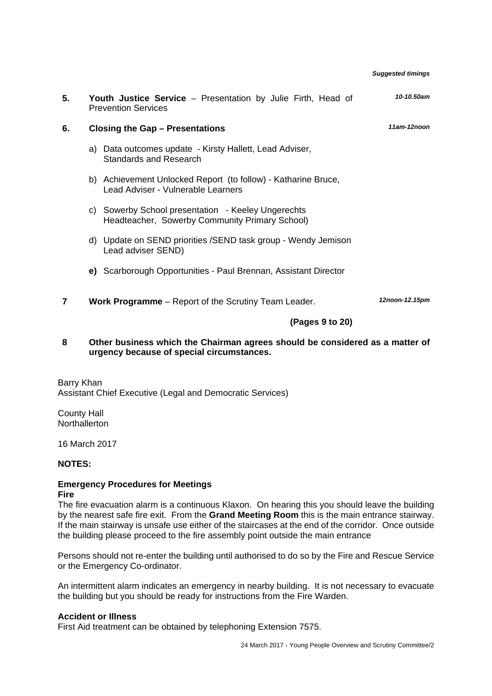| 5. |    | Youth Justice Service - Presentation by Julie Firth, Head of<br><b>Prevention Services</b>           | 10-10.50am     |
|----|----|------------------------------------------------------------------------------------------------------|----------------|
| 6. |    | <b>Closing the Gap - Presentations</b>                                                               | 11am-12noon    |
|    | a) | Data outcomes update - Kirsty Hallett, Lead Adviser,<br><b>Standards and Research</b>                |                |
|    | b) | Achievement Unlocked Report (to follow) - Katharine Bruce,<br>Lead Adviser - Vulnerable Learners     |                |
|    |    | c) Sowerby School presentation - Keeley Ungerechts<br>Headteacher, Sowerby Community Primary School) |                |
|    | d) | Update on SEND priorities / SEND task group - Wendy Jemison<br>Lead adviser SEND)                    |                |
|    |    | e) Scarborough Opportunities - Paul Brennan, Assistant Director                                      |                |
| 7  |    | <b>Work Programme</b> – Report of the Scrutiny Team Leader.                                          | 12noon-12.15pm |
|    |    | (Pages 9 to 20)                                                                                      |                |

*Suggested timings*

#### **8 Other business which the Chairman agrees should be considered as a matter of urgency because of special circumstances.**

Barry Khan Assistant Chief Executive (Legal and Democratic Services)

County Hall Northallerton

16 March 2017

#### **NOTES:**

#### **Emergency Procedures for Meetings Fire**

The fire evacuation alarm is a continuous Klaxon. On hearing this you should leave the building by the nearest safe fire exit. From the **Grand Meeting Room** this is the main entrance stairway. If the main stairway is unsafe use either of the staircases at the end of the corridor. Once outside the building please proceed to the fire assembly point outside the main entrance

Persons should not re-enter the building until authorised to do so by the Fire and Rescue Service or the Emergency Co-ordinator.

An intermittent alarm indicates an emergency in nearby building. It is not necessary to evacuate the building but you should be ready for instructions from the Fire Warden.

#### **Accident or Illness**

First Aid treatment can be obtained by telephoning Extension 7575.